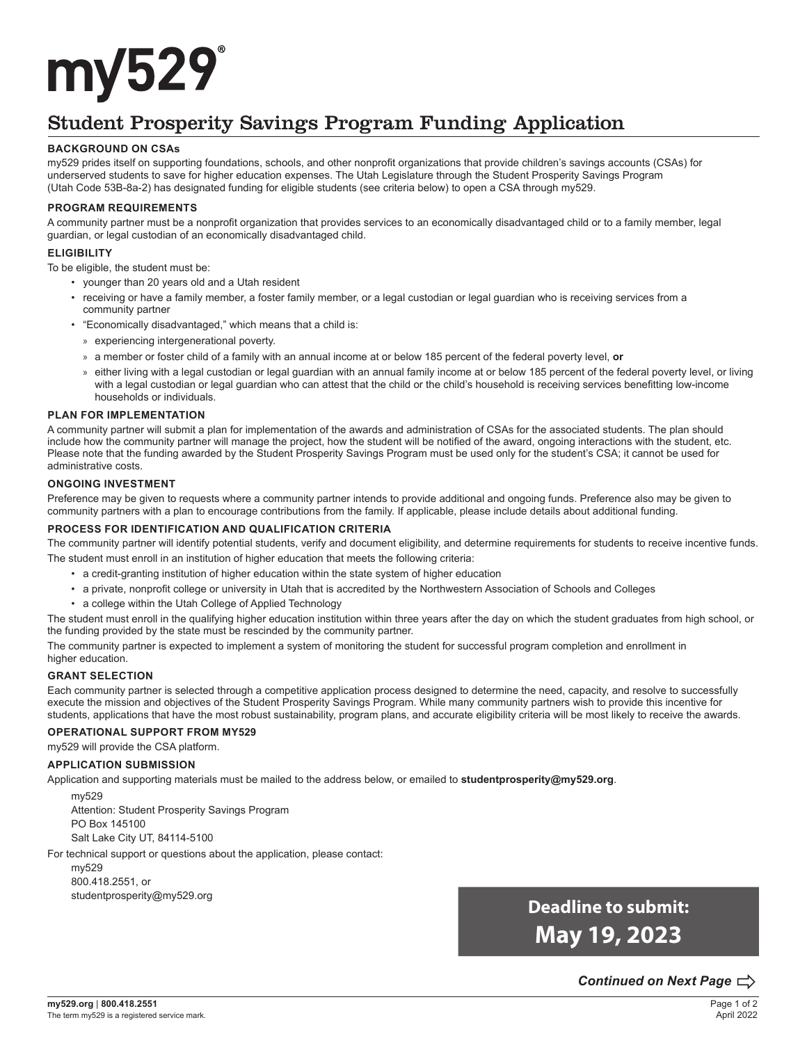# my529

## Student Prosperity Savings Program Funding Application

#### **BACKGROUND ON CSAs**

my529 prides itself on supporting foundations, schools, and other nonprofit organizations that provide children's savings accounts (CSAs) for underserved students to save for higher education expenses. The Utah Legislature through the Student Prosperity Savings Program (Utah Code 53B-8a-2) has designated funding for eligible students (see criteria below) to open a CSA through my529.

#### **PROGRAM REQUIREMENTS**

A community partner must be a nonprofit organization that provides services to an economically disadvantaged child or to a family member, legal guardian, or legal custodian of an economically disadvantaged child.

#### **ELIGIBILITY**

To be eligible, the student must be:

- younger than 20 years old and a Utah resident
- receiving or have a family member, a foster family member, or a legal custodian or legal guardian who is receiving services from a community partner
- "Economically disadvantaged," which means that a child is:
	- » experiencing intergenerational poverty.
	- » a member or foster child of a family with an annual income at or below 185 percent of the federal poverty level, **or**
	- » either living with a legal custodian or legal guardian with an annual family income at or below 185 percent of the federal poverty level, or living with a legal custodian or legal guardian who can attest that the child or the child's household is receiving services benefitting low-income households or individuals.

#### **PLAN FOR IMPLEMENTATION**

A community partner will submit a plan for implementation of the awards and administration of CSAs for the associated students. The plan should include how the community partner will manage the project, how the student will be notified of the award, ongoing interactions with the student, etc. Please note that the funding awarded by the Student Prosperity Savings Program must be used only for the student's CSA; it cannot be used for administrative costs.

#### **ONGOING INVESTMENT**

Preference may be given to requests where a community partner intends to provide additional and ongoing funds. Preference also may be given to community partners with a plan to encourage contributions from the family. If applicable, please include details about additional funding.

#### **PROCESS FOR IDENTIFICATION AND QUALIFICATION CRITERIA**

The community partner will identify potential students, verify and document eligibility, and determine requirements for students to receive incentive funds. The student must enroll in an institution of higher education that meets the following criteria:

- a credit-granting institution of higher education within the state system of higher education
- a private, nonprofit college or university in Utah that is accredited by the Northwestern Association of Schools and Colleges
- a college within the Utah College of Applied Technology

The student must enroll in the qualifying higher education institution within three years after the day on which the student graduates from high school, or the funding provided by the state must be rescinded by the community partner.

The community partner is expected to implement a system of monitoring the student for successful program completion and enrollment in higher education.

#### **GRANT SELECTION**

Each community partner is selected through a competitive application process designed to determine the need, capacity, and resolve to successfully execute the mission and objectives of the Student Prosperity Savings Program. While many community partners wish to provide this incentive for students, applications that have the most robust sustainability, program plans, and accurate eligibility criteria will be most likely to receive the awards.

#### **OPERATIONAL SUPPORT FROM MY529**

my529 will provide the CSA platform.

#### **APPLICATION SUBMISSION**

Application and supporting materials must be mailed to the address below, or emailed to **studentprosperity@my529.org**.

my529

Attention: Student Prosperity Savings Program PO Box 145100 Salt Lake City UT, 84114-5100

For technical support or questions about the application, please contact:

my529 800.418.2551, or studentprosperity@my529.org

**Deadline to submit: May 19, 2023**

## *Continued on Next Page*